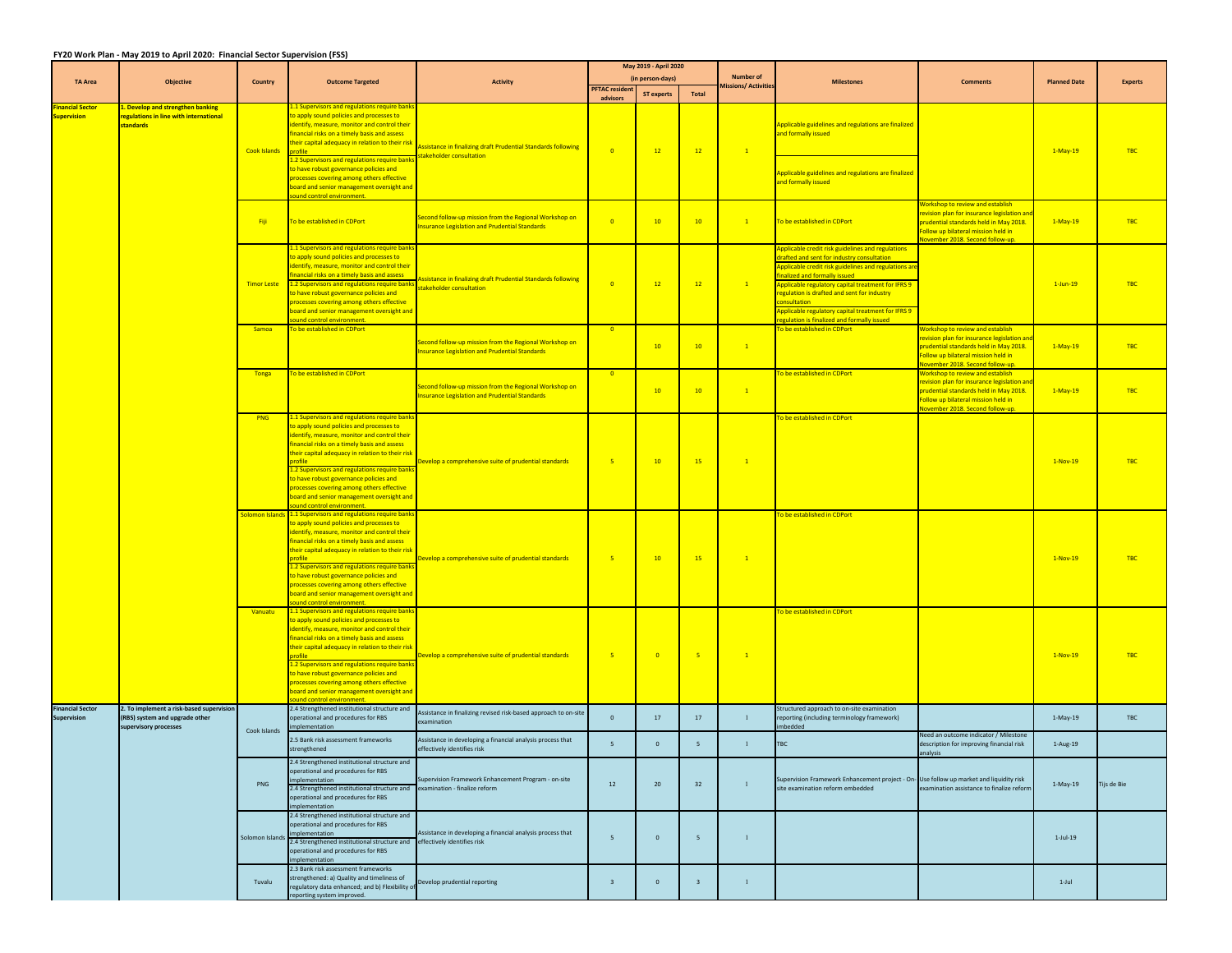## **FY20 Work Plan ‐ May 2019 to April 2020: Financial Sector Supervision (FSS)**

|                                               |                                                                                                     |                 |                                                                                                                                                                                                                                                                                                                                                                                                                                                                                         |                                                                                                               | May 2019 - April 2020             |                          |                 |                            |                                                                                                                                                                                                                                                                                                                                                                                                             |                                                                                                                                                                                                            |                     |                |
|-----------------------------------------------|-----------------------------------------------------------------------------------------------------|-----------------|-----------------------------------------------------------------------------------------------------------------------------------------------------------------------------------------------------------------------------------------------------------------------------------------------------------------------------------------------------------------------------------------------------------------------------------------------------------------------------------------|---------------------------------------------------------------------------------------------------------------|-----------------------------------|--------------------------|-----------------|----------------------------|-------------------------------------------------------------------------------------------------------------------------------------------------------------------------------------------------------------------------------------------------------------------------------------------------------------------------------------------------------------------------------------------------------------|------------------------------------------------------------------------------------------------------------------------------------------------------------------------------------------------------------|---------------------|----------------|
| <b>TA Area</b>                                | <b>Objective</b>                                                                                    | Country         | <b>Outcome Targeted</b>                                                                                                                                                                                                                                                                                                                                                                                                                                                                 | <b>Activity</b>                                                                                               |                                   | (in person-days)         |                 | <b>Number of</b>           | <b>Milestones</b>                                                                                                                                                                                                                                                                                                                                                                                           | <b>Comments</b>                                                                                                                                                                                            | <b>Planned Date</b> | <b>Experts</b> |
|                                               |                                                                                                     |                 |                                                                                                                                                                                                                                                                                                                                                                                                                                                                                         |                                                                                                               | <b>PFTAC resident</b><br>advisors | <b>ST experts</b>        | <b>Total</b>    | <b>Aissions/ Activitie</b> |                                                                                                                                                                                                                                                                                                                                                                                                             |                                                                                                                                                                                                            |                     |                |
| <b>Financial Sector</b><br><b>Supervision</b> | 1. Develop and strengthen banking<br>regulations in line with international<br>standards            | Cook Islands    | 1.1 Supervisors and regulations require ban<br>to apply sound policies and processes to<br>identify, measure, monitor and control their<br>financial risks on a timely basis and assess<br>heir capital adequacy in relation to their risk                                                                                                                                                                                                                                              | <b>Assistance in finalizing draft Prudential Standards following</b><br>takeholder consultation               | $\overline{0}$                    | 12                       | 12              | $\mathbf{1}$               | Applicable guidelines and regulations are finalized<br>and formally issued                                                                                                                                                                                                                                                                                                                                  |                                                                                                                                                                                                            | 1-May-19            | <b>TBC</b>     |
|                                               |                                                                                                     |                 | .2 Supervisors and regulations require bank:<br>to have robust governance policies and<br>processes covering among others effective<br>board and senior management oversight and<br>und control environment.                                                                                                                                                                                                                                                                            |                                                                                                               |                                   |                          |                 |                            | Applicable guidelines and regulations are finalized<br>and formally issued                                                                                                                                                                                                                                                                                                                                  |                                                                                                                                                                                                            |                     |                |
|                                               |                                                                                                     | Fiji            | To be established in CDPort                                                                                                                                                                                                                                                                                                                                                                                                                                                             | Second follow-up mission from the Regional Workshop on<br>nsurance Legislation and Prudential Standards       | $\overline{\mathbf{0}}$           | 10                       | 10              | $\sqrt{1}$                 | To be established in CDPort                                                                                                                                                                                                                                                                                                                                                                                 | <b>Norkshop to review and establish</b><br>evision plan for insurance legislation and<br>prudential standards held in May 2018.<br>ollow up bilateral mission held in<br>rember 2018. Second follow-up     | $1-May-19$          | TBC            |
|                                               |                                                                                                     |                 | 1.1 Supervisors and regulations require bank:<br>to apply sound policies and processes to<br>identify, measure, monitor and control their<br>inancial risks on a timely basis and assess<br>Timor Leste 1.2 Supervisors and regulations require banks<br>to have robust governance policies and<br>processes covering among others effective<br>board and senior management oversight and<br>und control environment                                                                    | <b>Assistance in finalizing draft Prudential Standards following</b><br>stakeholder consultation              | $\overline{0}$                    | 12                       | 12              | $\overline{1}$             | oplicable credit risk guidelines and regulations<br>rafted and sent for industry consultation<br>pplicable credit risk guidelines and regulations are<br>inalized and formally issued<br>Applicable regulatory capital treatment for IFRS 9<br>regulation is drafted and sent for industry<br>nnsultation<br>pplicable regulatory capital treatment for IFRS 9<br>gulation is finalized and formally issued |                                                                                                                                                                                                            | $1$ -Jun-19         | <b>TBC</b>     |
|                                               |                                                                                                     | Samoa           | To be established in CDPort                                                                                                                                                                                                                                                                                                                                                                                                                                                             | econd follow-up mission from the Regional Workshop on<br><b>Isurance Legislation and Prudential Standards</b> | $\overline{\phantom{0}}$          | 10                       | 10              | $\mathbf{1}$               | To be established in CDPort                                                                                                                                                                                                                                                                                                                                                                                 | Vorkshop to review and establish<br>evision plan for insurance legislation an<br>rudential standards held in May 2018.<br>ollow up bilateral mission held in<br>ovember 2018. Second follow-up.            | $1-May-19$          | TBC            |
|                                               |                                                                                                     | Tonga           | To be established in CDPort                                                                                                                                                                                                                                                                                                                                                                                                                                                             | Second follow-up mission from the Regional Workshop on<br>nsurance Legislation and Prudential Standards       | $\overline{0}$                    | 10                       | 10 <sup>°</sup> | $-1$                       | o be established in CDPort                                                                                                                                                                                                                                                                                                                                                                                  | Workshop to review and establish<br>revision plan for insurance legislation and<br><b>Drudential standards held in May 2018.</b><br>Follow up bilateral mission held in<br>ovember 2018. Second follow-up. | 1-May-19            | <b>TBC</b>     |
|                                               |                                                                                                     | <b>PNG</b>      | 1.1 Supervisors and regulations require bank:<br>o apply sound policies and processes to<br>identify, measure, monitor and control their<br>financial risks on a timely basis and assess<br>their capital adequacy in relation to their risk<br>nrofile<br>1.2 Supervisors and regulations require banks<br>to have robust governance policies and<br>processes covering among others effective<br>board and senior management oversight and<br>und control environment.                | evelop a comprehensive suite of prudential standards                                                          | $-5$                              | 10                       | 15              | $\overline{1}$             | o be established in CDPort                                                                                                                                                                                                                                                                                                                                                                                  |                                                                                                                                                                                                            | $1-Nov-19$          | <b>TBC</b>     |
|                                               |                                                                                                     |                 | olomon Islands 1.1 Supervisors and regulations require bank<br>to apply sound policies and processes to<br>identify, measure, monitor and control their<br>financial risks on a timely basis and assess<br>their capital adequacy in relation to their risk<br>profile<br>1.2 Supervisors and regulations require banks<br>to have robust governance policies and<br>processes covering among others effective<br>board and senior management oversight and<br>ound control environment | Develop a comprehensive suite of prudential standards                                                         | 5 <sub>5</sub>                    | 10                       | 15              | $\overline{1}$             | be established in CDPort                                                                                                                                                                                                                                                                                                                                                                                    |                                                                                                                                                                                                            | 1-Nov-19            | <b>TBC</b>     |
|                                               |                                                                                                     | Vanuatu         | 1.1 Supervisors and regulations require bank<br>to apply sound policies and processes to<br>identify, measure, monitor and control their<br>financial risks on a timely basis and assess<br>their capital adequacy in relation to their risk<br>.2 Supervisors and regulations require bank:<br>to have robust governance policies and<br>processes covering among others effective<br>board and senior management oversight and<br>und control environment.                            | Develop a comprehensive suite of prudential standards                                                         | $-5$                              | $\overline{\phantom{0}}$ | $-5$            | $\overline{1}$             | o be established in CDPort                                                                                                                                                                                                                                                                                                                                                                                  |                                                                                                                                                                                                            | $1-Nov-19$          | <b>TBC</b>     |
| <b>Financial Sector</b><br>Supervision        | 2. To implement a risk-based supervision<br>(RBS) system and upgrade other<br>supervisory processes | Cook Islands    | 2.4 Strengthened institutional structure and<br>operational and procedures for RBS<br>plementation                                                                                                                                                                                                                                                                                                                                                                                      | Assistance in finalizing revised risk-based approach to on-site<br>examination                                | $\mathbf{0}$                      | 17                       | 17              | $\mathbf{I}$               | tructured approach to on-site examination<br>reporting (including terminology framework)<br>bedded                                                                                                                                                                                                                                                                                                          |                                                                                                                                                                                                            | $1-May-19$          | <b>TBC</b>     |
|                                               |                                                                                                     |                 | 2.5 Bank risk assessment frameworks<br>strengthened                                                                                                                                                                                                                                                                                                                                                                                                                                     | Assistance in developing a financial analysis process that<br>ffectively identifies risk                      | $\overline{5}$                    | $\mathbf 0$              | $5\phantom{.0}$ | $\mathbf{1}$               | TBC                                                                                                                                                                                                                                                                                                                                                                                                         | Veed an outcome indicator / Milestone<br>description for improving financial risk                                                                                                                          | $1-Aug-19$          |                |
|                                               |                                                                                                     | PNG             | 2.4 Strengthened institutional structure and<br>operational and procedures for RBS<br>mplementation<br>2.4 Strengthened institutional structure and<br>operational and procedures for RBS<br>plementation                                                                                                                                                                                                                                                                               | Supervision Framework Enhancement Program - on-site<br>examination - finalize reform                          | 12                                | 20                       | 32              | $\mathbf{I}$               | Supervision Framework Enhancement project - On- Use follow up market and liquidity risk<br>site examination reform embedded                                                                                                                                                                                                                                                                                 | examination assistance to finalize reform                                                                                                                                                                  | $1-May-19$          | Tijs de Bie    |
|                                               |                                                                                                     | Solomon Islands | 2.4 Strengthened institutional structure and<br>operational and procedures for RBS<br>plementation<br>2.4 Strengthened institutional structure and<br>operational and procedures for RBS<br>plementation                                                                                                                                                                                                                                                                                | Assistance in developing a financial analysis process that<br>effectively identifies risk                     | $\overline{5}$                    | $\mathbf 0$              | $5\phantom{.0}$ | $\mathbf{1}$               |                                                                                                                                                                                                                                                                                                                                                                                                             |                                                                                                                                                                                                            | $1-Jul-19$          |                |
|                                               |                                                                                                     | Tuvalu          | 2.3 Bank risk assessment frameworks<br>strengthened: a) Quality and timeliness of<br>egulatory data enhanced; and b) Flexibility of<br>eporting system improved.                                                                                                                                                                                                                                                                                                                        | Develop prudential reporting                                                                                  | $\overline{3}$                    | $\circ$                  | $\overline{3}$  | $\mathbf{1}$               |                                                                                                                                                                                                                                                                                                                                                                                                             |                                                                                                                                                                                                            | $1-Jul$             |                |